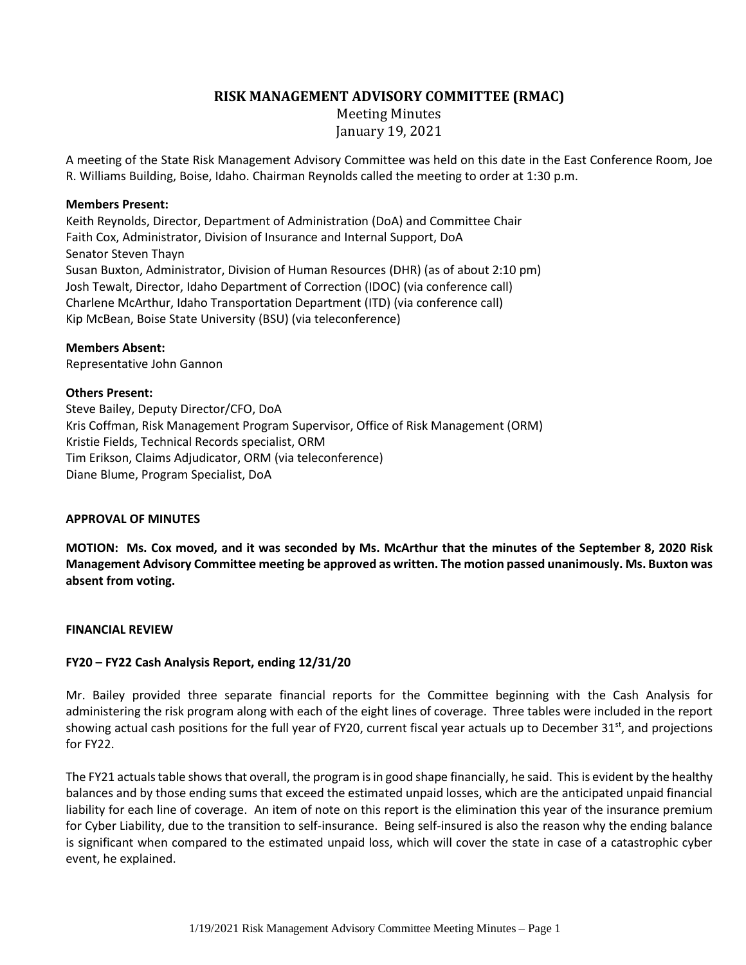# **RISK MANAGEMENT ADVISORY COMMITTEE (RMAC)**

Meeting Minutes January 19, 2021

A meeting of the State Risk Management Advisory Committee was held on this date in the East Conference Room, Joe R. Williams Building, Boise, Idaho. Chairman Reynolds called the meeting to order at 1:30 p.m.

#### **Members Present:**

Keith Reynolds, Director, Department of Administration (DoA) and Committee Chair Faith Cox, Administrator, Division of Insurance and Internal Support, DoA Senator Steven Thayn Susan Buxton, Administrator, Division of Human Resources (DHR) (as of about 2:10 pm) Josh Tewalt, Director, Idaho Department of Correction (IDOC) (via conference call) Charlene McArthur, Idaho Transportation Department (ITD) (via conference call) Kip McBean, Boise State University (BSU) (via teleconference)

## **Members Absent:**

Representative John Gannon

#### **Others Present:**

Steve Bailey, Deputy Director/CFO, DoA Kris Coffman, Risk Management Program Supervisor, Office of Risk Management (ORM) Kristie Fields, Technical Records specialist, ORM Tim Erikson, Claims Adjudicator, ORM (via teleconference) Diane Blume, Program Specialist, DoA

## **APPROVAL OF MINUTES**

**MOTION: Ms. Cox moved, and it was seconded by Ms. McArthur that the minutes of the September 8, 2020 Risk Management Advisory Committee meeting be approved as written. The motion passed unanimously. Ms. Buxton was absent from voting.**

#### **FINANCIAL REVIEW**

## **FY20 – FY22 Cash Analysis Report, ending 12/31/20**

Mr. Bailey provided three separate financial reports for the Committee beginning with the Cash Analysis for administering the risk program along with each of the eight lines of coverage. Three tables were included in the report showing actual cash positions for the full year of FY20, current fiscal year actuals up to December  $31<sup>st</sup>$ , and projections for FY22.

The FY21 actuals table shows that overall, the program is in good shape financially, he said. This is evident by the healthy balances and by those ending sums that exceed the estimated unpaid losses, which are the anticipated unpaid financial liability for each line of coverage. An item of note on this report is the elimination this year of the insurance premium for Cyber Liability, due to the transition to self-insurance. Being self-insured is also the reason why the ending balance is significant when compared to the estimated unpaid loss, which will cover the state in case of a catastrophic cyber event, he explained.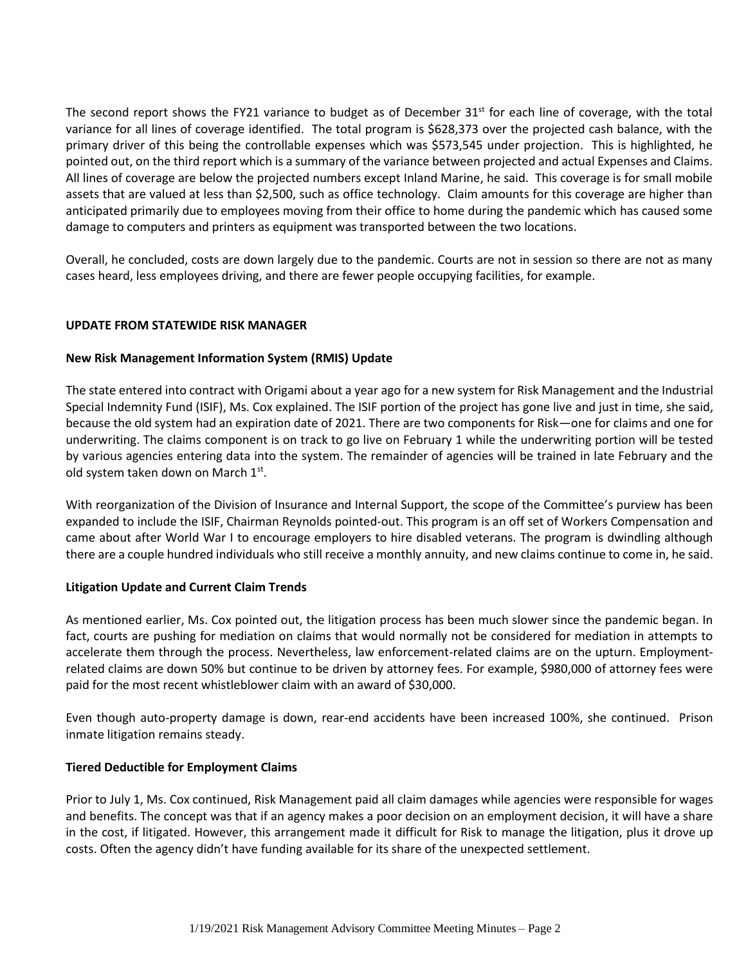The second report shows the FY21 variance to budget as of December  $31<sup>st</sup>$  for each line of coverage, with the total variance for all lines of coverage identified. The total program is \$628,373 over the projected cash balance, with the primary driver of this being the controllable expenses which was \$573,545 under projection. This is highlighted, he pointed out, on the third report which is a summary of the variance between projected and actual Expenses and Claims. All lines of coverage are below the projected numbers except Inland Marine, he said. This coverage is for small mobile assets that are valued at less than \$2,500, such as office technology. Claim amounts for this coverage are higher than anticipated primarily due to employees moving from their office to home during the pandemic which has caused some damage to computers and printers as equipment was transported between the two locations.

Overall, he concluded, costs are down largely due to the pandemic. Courts are not in session so there are not as many cases heard, less employees driving, and there are fewer people occupying facilities, for example.

## **UPDATE FROM STATEWIDE RISK MANAGER**

## **New Risk Management Information System (RMIS) Update**

The state entered into contract with Origami about a year ago for a new system for Risk Management and the Industrial Special Indemnity Fund (ISIF), Ms. Cox explained. The ISIF portion of the project has gone live and just in time, she said, because the old system had an expiration date of 2021. There are two components for Risk—one for claims and one for underwriting. The claims component is on track to go live on February 1 while the underwriting portion will be tested by various agencies entering data into the system. The remainder of agencies will be trained in late February and the old system taken down on March 1st.

With reorganization of the Division of Insurance and Internal Support, the scope of the Committee's purview has been expanded to include the ISIF, Chairman Reynolds pointed-out. This program is an off set of Workers Compensation and came about after World War I to encourage employers to hire disabled veterans. The program is dwindling although there are a couple hundred individuals who still receive a monthly annuity, and new claims continue to come in, he said.

## **Litigation Update and Current Claim Trends**

As mentioned earlier, Ms. Cox pointed out, the litigation process has been much slower since the pandemic began. In fact, courts are pushing for mediation on claims that would normally not be considered for mediation in attempts to accelerate them through the process. Nevertheless, law enforcement-related claims are on the upturn. Employmentrelated claims are down 50% but continue to be driven by attorney fees. For example, \$980,000 of attorney fees were paid for the most recent whistleblower claim with an award of \$30,000.

Even though auto-property damage is down, rear-end accidents have been increased 100%, she continued. Prison inmate litigation remains steady.

## **Tiered Deductible for Employment Claims**

Prior to July 1, Ms. Cox continued, Risk Management paid all claim damages while agencies were responsible for wages and benefits. The concept was that if an agency makes a poor decision on an employment decision, it will have a share in the cost, if litigated. However, this arrangement made it difficult for Risk to manage the litigation, plus it drove up costs. Often the agency didn't have funding available for its share of the unexpected settlement.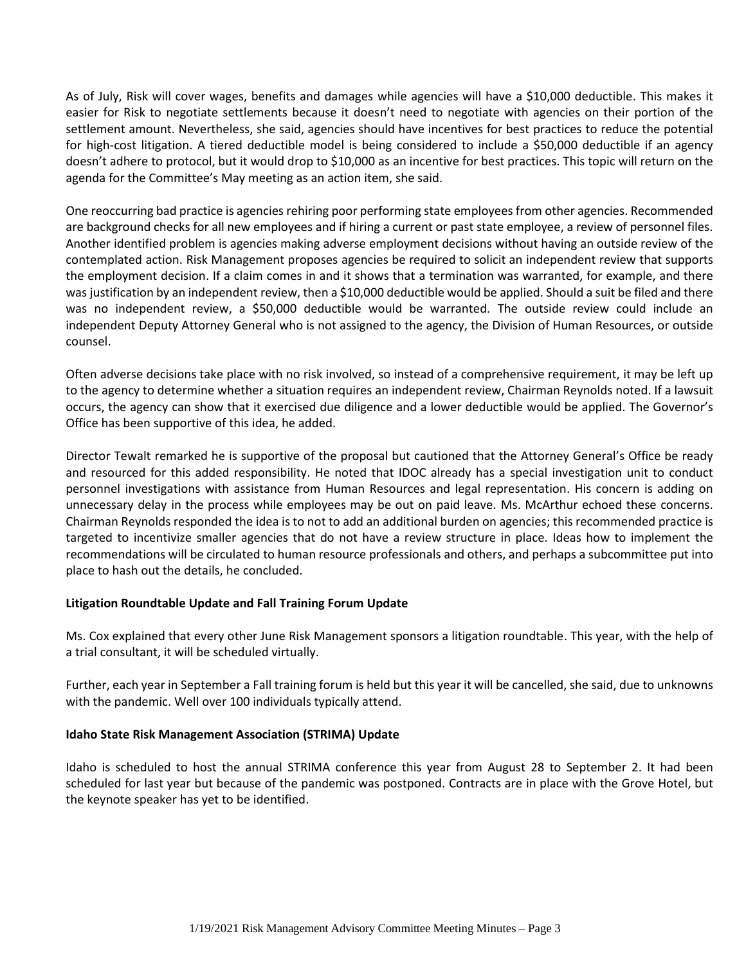As of July, Risk will cover wages, benefits and damages while agencies will have a \$10,000 deductible. This makes it easier for Risk to negotiate settlements because it doesn't need to negotiate with agencies on their portion of the settlement amount. Nevertheless, she said, agencies should have incentives for best practices to reduce the potential for high-cost litigation. A tiered deductible model is being considered to include a \$50,000 deductible if an agency doesn't adhere to protocol, but it would drop to \$10,000 as an incentive for best practices. This topic will return on the agenda for the Committee's May meeting as an action item, she said.

One reoccurring bad practice is agencies rehiring poor performing state employees from other agencies. Recommended are background checks for all new employees and if hiring a current or past state employee, a review of personnel files. Another identified problem is agencies making adverse employment decisions without having an outside review of the contemplated action. Risk Management proposes agencies be required to solicit an independent review that supports the employment decision. If a claim comes in and it shows that a termination was warranted, for example, and there was justification by an independent review, then a \$10,000 deductible would be applied. Should a suit be filed and there was no independent review, a \$50,000 deductible would be warranted. The outside review could include an independent Deputy Attorney General who is not assigned to the agency, the Division of Human Resources, or outside counsel.

Often adverse decisions take place with no risk involved, so instead of a comprehensive requirement, it may be left up to the agency to determine whether a situation requires an independent review, Chairman Reynolds noted. If a lawsuit occurs, the agency can show that it exercised due diligence and a lower deductible would be applied. The Governor's Office has been supportive of this idea, he added.

Director Tewalt remarked he is supportive of the proposal but cautioned that the Attorney General's Office be ready and resourced for this added responsibility. He noted that IDOC already has a special investigation unit to conduct personnel investigations with assistance from Human Resources and legal representation. His concern is adding on unnecessary delay in the process while employees may be out on paid leave. Ms. McArthur echoed these concerns. Chairman Reynolds responded the idea is to not to add an additional burden on agencies; this recommended practice is targeted to incentivize smaller agencies that do not have a review structure in place. Ideas how to implement the recommendations will be circulated to human resource professionals and others, and perhaps a subcommittee put into place to hash out the details, he concluded.

## **Litigation Roundtable Update and Fall Training Forum Update**

Ms. Cox explained that every other June Risk Management sponsors a litigation roundtable. This year, with the help of a trial consultant, it will be scheduled virtually.

Further, each year in September a Fall training forum is held but this year it will be cancelled, she said, due to unknowns with the pandemic. Well over 100 individuals typically attend.

## **Idaho State Risk Management Association (STRIMA) Update**

Idaho is scheduled to host the annual STRIMA conference this year from August 28 to September 2. It had been scheduled for last year but because of the pandemic was postponed. Contracts are in place with the Grove Hotel, but the keynote speaker has yet to be identified.